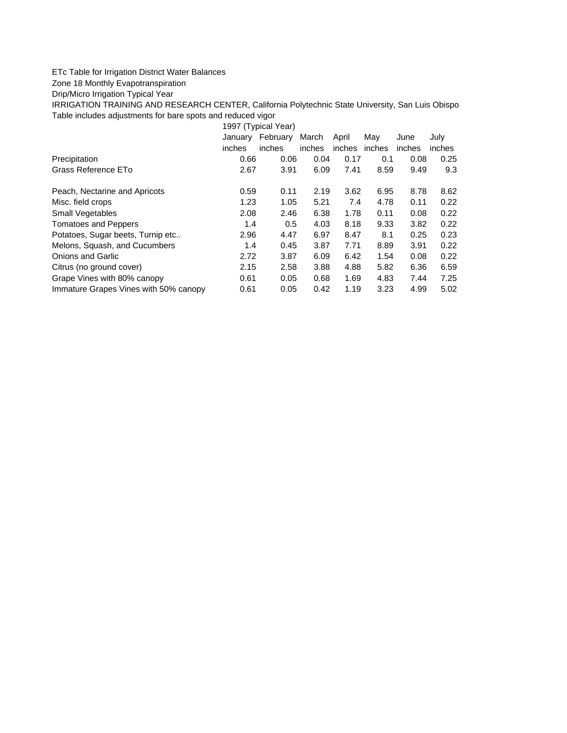## ETc Table for Irrigation District Water Balances

## Zone 18 Monthly Evapotranspiration

## Drip/Micro Irrigation Typical Year

IRRIGATION TRAINING AND RESEARCH CENTER, California Polytechnic State University, San Luis Obispo Table includes adjustments for bare spots and reduced vigor

1997 (Typical Year) January February March April May June July inches inches inches inches inches inches inches Precipitation 0.66 0.06 0.04 0.17 0.1 0.08 0.25 Grass Reference ETo 2.67 3.91 6.09 7.41 8.59 9.49 9.3 Peach, Nectarine and Apricots 0.59 0.11 2.19 3.62 6.95 8.78 8.62 Misc. field crops 1.23 1.05 5.21 7.4 4.78 0.11 0.22 Small Vegetables 2.08 2.46 6.38 1.78 0.11 0.08 0.22 Tomatoes and Peppers 1.4 0.5 4.03 8.18 9.33 3.82 0.22 Potatoes, Sugar beets, Turnip etc.. 2.96 4.47 6.97 8.47 8.1 0.25 0.23 Melons, Squash, and Cucumbers 1.4 0.45 3.87 7.71 8.89 3.91 0.22 Onions and Garlic 2.72 3.87 6.09 6.42 1.54 0.08 0.22 Citrus (no ground cover) 2.15 2.58 3.88 4.88 5.82 6.36 6.59 Grape Vines with 80% canopy  $0.61$  0.05 0.68 1.69 4.83 7.44 7.25 Immature Grapes Vines with 50% canopy 0.61 0.05 0.42 1.19 3.23 4.99 5.02